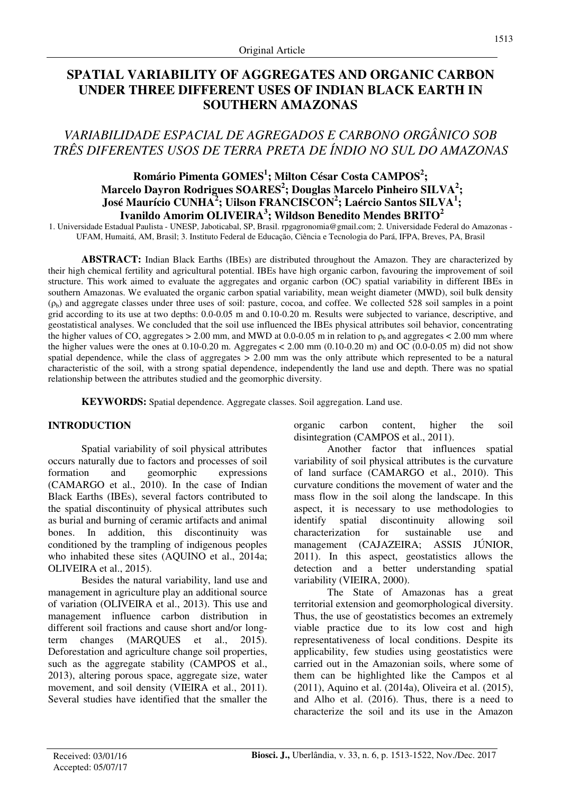# **SPATIAL VARIABILITY OF AGGREGATES AND ORGANIC CARBON UNDER THREE DIFFERENT USES OF INDIAN BLACK EARTH IN SOUTHERN AMAZONAS**

# *VARIABILIDADE ESPACIAL DE AGREGADOS E CARBONO ORGÂNICO SOB TRÊS DIFERENTES USOS DE TERRA PRETA DE ÍNDIO NO SUL DO AMAZONAS*

## **Romário Pimenta GOMES<sup>1</sup> ; Milton César Costa CAMPOS<sup>2</sup> ; Marcelo Dayron Rodrigues SOARES<sup>2</sup> ; Douglas Marcelo Pinheiro SILVA<sup>2</sup> ; José Maurício CUNHA<sup>2</sup> ; Uilson FRANCISCON<sup>2</sup> ; Laércio Santos SILVA<sup>1</sup> ; Ivanildo Amorim OLIVEIRA<sup>3</sup> ; Wildson Benedito Mendes BRITO<sup>2</sup>**

1. Universidade Estadual Paulista - UNESP, Jaboticabal, SP, Brasil. rpgagronomia@gmail.com; 2. Universidade Federal do Amazonas - UFAM, Humaitá, AM, Brasil; 3. Instituto Federal de Educação, Ciência e Tecnologia do Pará, IFPA, Breves, PA, Brasil

**ABSTRACT:** Indian Black Earths (IBEs) are distributed throughout the Amazon. They are characterized by their high chemical fertility and agricultural potential. IBEs have high organic carbon, favouring the improvement of soil structure. This work aimed to evaluate the aggregates and organic carbon (OC) spatial variability in different IBEs in southern Amazonas. We evaluated the organic carbon spatial variability, mean weight diameter (MWD), soil bulk density (ρb) and aggregate classes under three uses of soil: pasture, cocoa, and coffee. We collected 528 soil samples in a point grid according to its use at two depths: 0.0-0.05 m and 0.10-0.20 m. Results were subjected to variance, descriptive, and geostatistical analyses. We concluded that the soil use influenced the IBEs physical attributes soil behavior, concentrating the higher values of CO, aggregates > 2.00 mm, and MWD at 0.0-0.05 m in relation to  $\rho_b$  and aggregates < 2.00 mm where the higher values were the ones at  $0.10$ -0.20 m. Aggregates  $< 2.00$  mm  $(0.10$ -0.20 m) and OC  $(0.0$ -0.05 m) did not show spatial dependence, while the class of aggregates  $> 2.00$  mm was the only attribute which represented to be a natural characteristic of the soil, with a strong spatial dependence, independently the land use and depth. There was no spatial relationship between the attributes studied and the geomorphic diversity.

**KEYWORDS:** Spatial dependence. Aggregate classes. Soil aggregation. Land use.

## **INTRODUCTION**

Spatial variability of soil physical attributes occurs naturally due to factors and processes of soil formation and geomorphic expressions (CAMARGO et al., 2010). In the case of Indian Black Earths (IBEs), several factors contributed to the spatial discontinuity of physical attributes such as burial and burning of ceramic artifacts and animal bones. In addition, this discontinuity was conditioned by the trampling of indigenous peoples who inhabited these sites (AQUINO et al., 2014a; OLIVEIRA et al., 2015).

Besides the natural variability, land use and management in agriculture play an additional source of variation (OLIVEIRA et al., 2013). This use and management influence carbon distribution in different soil fractions and cause short and/or longterm changes (MARQUES et al., 2015). Deforestation and agriculture change soil properties, such as the aggregate stability (CAMPOS et al., 2013), altering porous space, aggregate size, water movement, and soil density (VIEIRA et al., 2011). Several studies have identified that the smaller the organic carbon content, higher the soil disintegration (CAMPOS et al., 2011).

Another factor that influences spatial variability of soil physical attributes is the curvature of land surface (CAMARGO et al., 2010). This curvature conditions the movement of water and the mass flow in the soil along the landscape. In this aspect, it is necessary to use methodologies to identify spatial discontinuity allowing soil characterization for sustainable use and management (CAJAZEIRA; ASSIS JÚNIOR, 2011). In this aspect, geostatistics allows the detection and a better understanding spatial variability (VIEIRA, 2000).

The State of Amazonas has a great territorial extension and geomorphological diversity. Thus, the use of geostatistics becomes an extremely viable practice due to its low cost and high representativeness of local conditions. Despite its applicability, few studies using geostatistics were carried out in the Amazonian soils, where some of them can be highlighted like the Campos et al (2011), Aquino et al. (2014a), Oliveira et al. (2015), and Alho et al. (2016). Thus, there is a need to characterize the soil and its use in the Amazon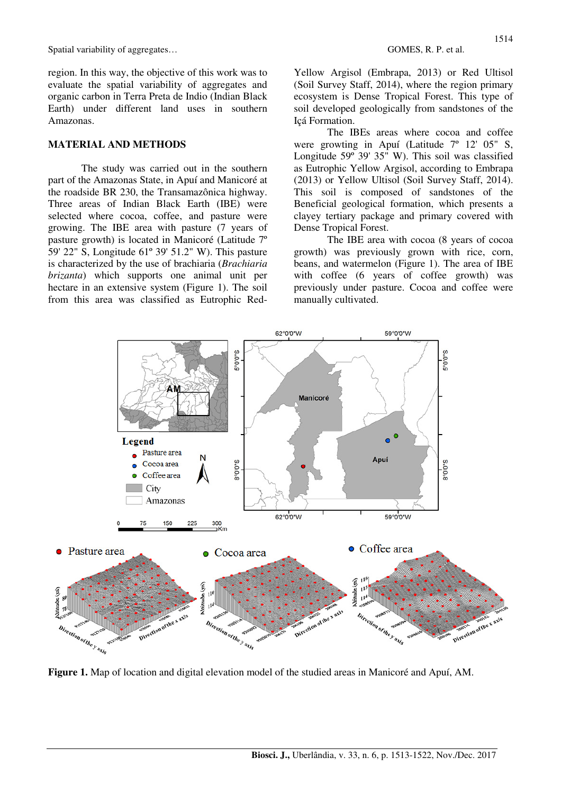region. In this way, the objective of this work was to evaluate the spatial variability of aggregates and organic carbon in Terra Preta de Indio (Indian Black Earth) under different land uses in southern Amazonas.

### **MATERIAL AND METHODS**

The study was carried out in the southern part of the Amazonas State, in Apuí and Manicoré at the roadside BR 230, the Transamazônica highway. Three areas of Indian Black Earth (IBE) were selected where cocoa, coffee, and pasture were growing. The IBE area with pasture (7 years of pasture growth) is located in Manicoré (Latitude 7º 59' 22" S, Longitude 61º 39' 51.2" W). This pasture is characterized by the use of brachiaria (*Brachiaria brizanta*) which supports one animal unit per hectare in an extensive system (Figure 1). The soil from this area was classified as Eutrophic RedYellow Argisol (Embrapa, 2013) or Red Ultisol (Soil Survey Staff, 2014), where the region primary ecosystem is Dense Tropical Forest. This type of soil developed geologically from sandstones of the Içá Formation.

 The IBEs areas where cocoa and coffee were growting in Apuí (Latitude 7º 12' 05" S, Longitude 59º 39' 35" W). This soil was classified as Eutrophic Yellow Argisol, according to Embrapa (2013) or Yellow Ultisol (Soil Survey Staff, 2014). This soil is composed of sandstones of the Beneficial geological formation, which presents a clayey tertiary package and primary covered with Dense Tropical Forest.

 The IBE area with cocoa (8 years of cocoa growth) was previously grown with rice, corn, beans, and watermelon (Figure 1). The area of IBE with coffee (6 years of coffee growth) was previously under pasture. Cocoa and coffee were manually cultivated.



**Figure 1.** Map of location and digital elevation model of the studied areas in Manicoré and Apuí, AM.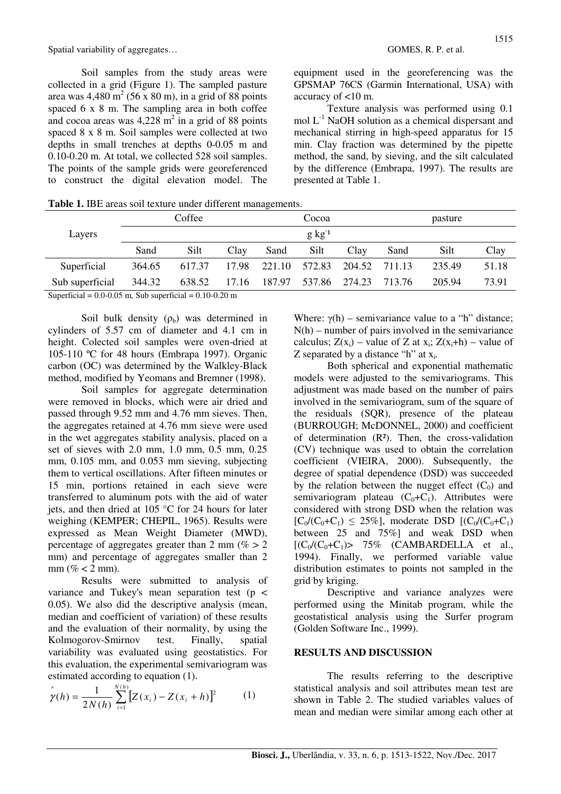Soil samples from the study areas were collected in a grid (Figure 1). The sampled pasture area was  $4,480 \text{ m}^2$  (56 x 80 m), in a grid of 88 points spaced 6 x 8 m. The sampling area in both coffee and cocoa areas was  $4,228 \text{ m}^2$  in a grid of 88 points spaced 8 x 8 m. Soil samples were collected at two depths in small trenches at depths 0-0.05 m and 0.10-0.20 m. At total, we collected 528 soil samples. The points of the sample grids were georeferenced to construct the digital elevation model. The

equipment used in the georeferencing was the GPSMAP 76CS (Garmin International, USA) with accuracy of <10 m.

Texture analysis was performed using 0.1 mol  $L^{-1}$  NaOH solution as a chemical dispersant and mechanical stirring in high-speed apparatus for 15 min. Clay fraction was determined by the pipette method, the sand, by sieving, and the silt calculated by the difference (Embrapa, 1997). The results are presented at Table 1.

Table 1. IBE areas soil texture under different managements.

|                 |        | Coffee |       |               | Cocoa               |               |        | pasture |       |
|-----------------|--------|--------|-------|---------------|---------------------|---------------|--------|---------|-------|
| Layers          |        |        |       |               | $g \text{ kg}^{-1}$ |               |        |         |       |
|                 | Sand   | Silt   | Clay  | Sand          | Silt                | Clay          | Sand   | Silt    | Clay  |
| Superficial     | 364.65 | 617.37 | 17.98 | 221.10 572.83 |                     | 204.52 711.13 |        | 235.49  | 51.18 |
| Sub superficial | 344.32 | 638.52 | 17.16 | 187.97        | 537.86 274.23       |               | 713.76 | 205.94  | 73.91 |

Superficial =  $0.0 - 0.05$  m, Sub superficial =  $0.10 - 0.20$  m

Soil bulk density  $(\rho_b)$  was determined in cylinders of 5.57 cm of diameter and 4.1 cm in height. Colected soil samples were oven-dried at 105-110 ºC for 48 hours (Embrapa 1997). Organic carbon (OC) was determined by the Walkley-Black method, modified by Yeomans and Bremner (1998).

 Soil samples for aggregate determination were removed in blocks, which were air dried and passed through 9.52 mm and 4.76 mm sieves. Then, the aggregates retained at 4.76 mm sieve were used in the wet aggregates stability analysis, placed on a set of sieves with 2.0 mm, 1.0 mm, 0.5 mm, 0.25 mm, 0.105 mm, and 0.053 mm sieving, subjecting them to vertical oscillations. After fifteen minutes or 15 min, portions retained in each sieve were transferred to aluminum pots with the aid of water jets, and then dried at 105 °C for 24 hours for later weighing (KEMPER; CHEPIL, 1965). Results were expressed as Mean Weight Diameter (MWD), percentage of aggregates greater than 2 mm ( $\% > 2$ ) mm) and percentage of aggregates smaller than 2 mm  $(\% < 2$  mm).

 Results were submitted to analysis of variance and Tukey's mean separation test ( $p \le$ 0.05). We also did the descriptive analysis (mean, median and coefficient of variation) of these results and the evaluation of their normality, by using the Kolmogorov-Smirnov test. Finally, spatial variability was evaluated using geostatistics. For this evaluation, the experimental semivariogram was estimated according to equation (1).

$$
\hat{\gamma}(h) = \frac{1}{2N(h)} \sum_{i=1}^{N(h)} [Z(x_i) - Z(x_i + h)]^2
$$
 (1)

Where:  $\gamma(h)$  – semivariance value to a "h" distance;  $N(h)$  – number of pairs involved in the semivariance calculus;  $Z(x_i)$  – value of Z at  $x_i$ ;  $Z(x_i+h)$  – value of Z separated by a distance "h" at x<sup>i</sup> *.* 

 Both spherical and exponential mathematic models were adjusted to the semivariograms. This adjustment was made based on the number of pairs involved in the semivariogram, sum of the square of the residuals (SQR), presence of the plateau (BURROUGH; McDONNEL, 2000) and coefficient of determination  $(R<sup>2</sup>)$ . Then, the cross-validation (CV) technique was used to obtain the correlation coefficient (VIEIRA, 2000). Subsequently, the degree of spatial dependence (DSD) was succeeded by the relation between the nugget effect  $(C_0)$  and semivariogram plateau  $(C_0+C_1)$ . Attributes were considered with strong DSD when the relation was  $[C_0/(C_0+C_1) \le 25\%]$ , moderate DSD  $[(C_0/(C_0+C_1))$ between 25 and 75%] and weak DSD when  $[(C_0/(C_0+C_1))$  75% (CAMBARDELLA et al., 1994). Finally, we performed variable value distribution estimates to points not sampled in the grid by kriging.

 Descriptive and variance analyzes were performed using the Minitab program, while the geostatistical analysis using the Surfer program (Golden Software Inc., 1999).

#### **RESULTS AND DISCUSSION**

The results referring to the descriptive statistical analysis and soil attributes mean test are shown in Table 2. The studied variables values of mean and median were similar among each other at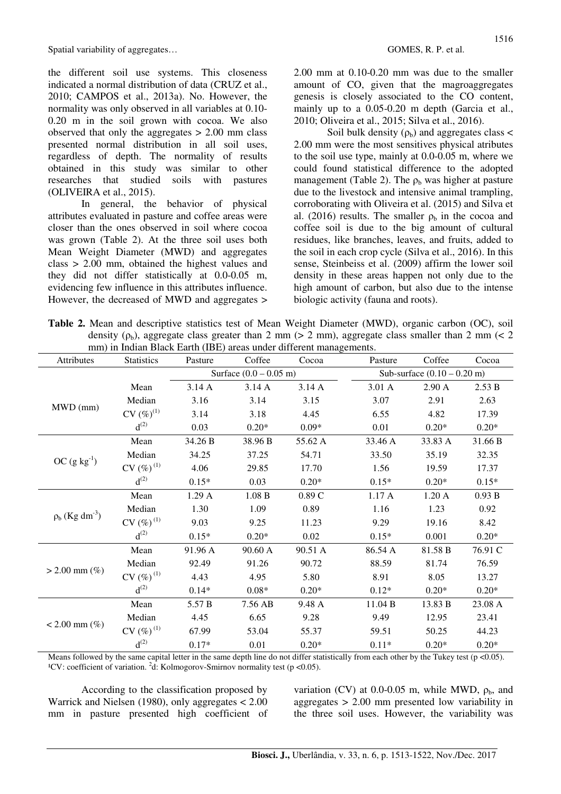the different soil use systems. This closeness indicated a normal distribution of data (CRUZ et al., 2010; CAMPOS et al., 2013a). No. However, the normality was only observed in all variables at 0.10- 0.20 m in the soil grown with cocoa. We also observed that only the aggregates  $> 2.00$  mm class presented normal distribution in all soil uses, regardless of depth. The normality of results obtained in this study was similar to other researches that studied soils with pastures (OLIVEIRA et al., 2015).

In general, the behavior of physical attributes evaluated in pasture and coffee areas were closer than the ones observed in soil where cocoa was grown (Table 2). At the three soil uses both Mean Weight Diameter (MWD) and aggregates class > 2.00 mm, obtained the highest values and they did not differ statistically at 0.0-0.05 m, evidencing few influence in this attributes influence. However, the decreased of MWD and aggregates >

2.00 mm at 0.10-0.20 mm was due to the smaller amount of CO, given that the magroaggregates genesis is closely associated to the CO content, mainly up to a 0.05-0.20 m depth (Garcia et al., 2010; Oliveira et al., 2015; Silva et al., 2016).

Soil bulk density  $(\rho_b)$  and aggregates class < 2.00 mm were the most sensitives physical atributes to the soil use type, mainly at 0.0-0.05 m, where we could found statistical difference to the adopted management (Table 2). The  $\rho_b$  was higher at pasture due to the livestock and intensive animal trampling, corroborating with Oliveira et al. (2015) and Silva et al. (2016) results. The smaller  $\rho_b$  in the cocoa and coffee soil is due to the big amount of cultural residues, like branches, leaves, and fruits, added to the soil in each crop cycle (Silva et al., 2016). In this sense, Steinbeiss et al. (2009) affirm the lower soil density in these areas happen not only due to the high amount of carbon, but also due to the intense biologic activity (fauna and roots).

**Table 2.** Mean and descriptive statistics test of Mean Weight Diameter (MWD), organic carbon (OC), soil density ( $\rho_b$ ), aggregate class greater than 2 mm ( $> 2$  mm), aggregate class smaller than 2 mm ( $< 2$ mm) in Indian Black Earth (IBE) areas under different managements.

| Attributes                      | thin) in mutan Diack Larth (IDL) areas unucl unferent managements.<br><b>Statistics</b> | Pasture | Coffee  | Cocoa   | Pasture | Coffee                        | Cocoa   |  |  |
|---------------------------------|-----------------------------------------------------------------------------------------|---------|---------|---------|---------|-------------------------------|---------|--|--|
|                                 | Surface $(0.0 - 0.05 \text{ m})$                                                        |         |         |         |         | Sub-surface $(0.10 - 0.20$ m) |         |  |  |
| MWD (mm)                        | Mean                                                                                    | 3.14A   | 3.14A   | 3.14A   | 3.01 A  | 2.90 A                        | 2.53 B  |  |  |
|                                 | Median                                                                                  | 3.16    | 3.14    | 3.15    | 3.07    | 2.91                          | 2.63    |  |  |
|                                 | $CV(%)^{(1)}$                                                                           | 3.14    | 3.18    | 4.45    | 6.55    | 4.82                          | 17.39   |  |  |
|                                 | $d^{(2)}$                                                                               | 0.03    | $0.20*$ | $0.09*$ | 0.01    | $0.20*$                       | $0.20*$ |  |  |
| $OC (g kg-1)$                   | Mean                                                                                    | 34.26 B | 38.96 B | 55.62 A | 33.46 A | 33.83 A                       | 31.66 B |  |  |
|                                 | Median                                                                                  | 34.25   | 37.25   | 54.71   | 33.50   | 35.19                         | 32.35   |  |  |
|                                 | $CV(%)^{(1)}$                                                                           | 4.06    | 29.85   | 17.70   | 1.56    | 19.59                         | 17.37   |  |  |
|                                 | $d^{(2)}$                                                                               | $0.15*$ | 0.03    | $0.20*$ | $0.15*$ | $0.20*$                       | $0.15*$ |  |  |
| $\rho_b$ (Kg dm <sup>-3</sup> ) | Mean                                                                                    | 1.29A   | 1.08 B  | 0.89C   | 1.17A   | 1.20A                         | 0.93 B  |  |  |
|                                 | Median                                                                                  | 1.30    | 1.09    | 0.89    | 1.16    | 1.23                          | 0.92    |  |  |
|                                 | $CV(%)^{(1)}$                                                                           | 9.03    | 9.25    | 11.23   | 9.29    | 19.16                         | 8.42    |  |  |
|                                 | $d^{(2)}$                                                                               | $0.15*$ | $0.20*$ | 0.02    | $0.15*$ | 0.001                         | $0.20*$ |  |  |
| $> 2.00$ mm $(\%)$              | Mean                                                                                    | 91.96 A | 90.60 A | 90.51 A | 86.54 A | 81.58 B                       | 76.91 C |  |  |
|                                 | Median                                                                                  | 92.49   | 91.26   | 90.72   | 88.59   | 81.74                         | 76.59   |  |  |
|                                 | $CV(%)^{(1)}$                                                                           | 4.43    | 4.95    | 5.80    | 8.91    | 8.05                          | 13.27   |  |  |
|                                 | $d^{(2)}$                                                                               | $0.14*$ | $0.08*$ | $0.20*$ | $0.12*$ | $0.20*$                       | $0.20*$ |  |  |
| $< 2.00$ mm $(\%)$              | Mean                                                                                    | 5.57 B  | 7.56 AB | 9.48 A  | 11.04 B | 13.83 B                       | 23.08 A |  |  |
|                                 | Median                                                                                  | 4.45    | 6.65    | 9.28    | 9.49    | 12.95                         | 23.41   |  |  |
|                                 | $CV(%)^{(1)}$                                                                           | 67.99   | 53.04   | 55.37   | 59.51   | 50.25                         | 44.23   |  |  |
|                                 | $d^{(2)}$                                                                               | $0.17*$ | 0.01    | $0.20*$ | $0.11*$ | $0.20*$                       | $0.20*$ |  |  |

Means followed by the same capital letter in the same depth line do not differ statistically from each other by the Tukey test ( $p \le 0.05$ ). <sup>1</sup>CV: coefficient of variation. <sup>2</sup>d: Kolmogorov-Smirnov normality test ( $p$  <0.05).

According to the classification proposed by Warrick and Nielsen (1980), only aggregates < 2.00 mm in pasture presented high coefficient of variation (CV) at 0.0-0.05 m, while MWD,  $\rho_b$ , and aggregates > 2.00 mm presented low variability in the three soil uses. However, the variability was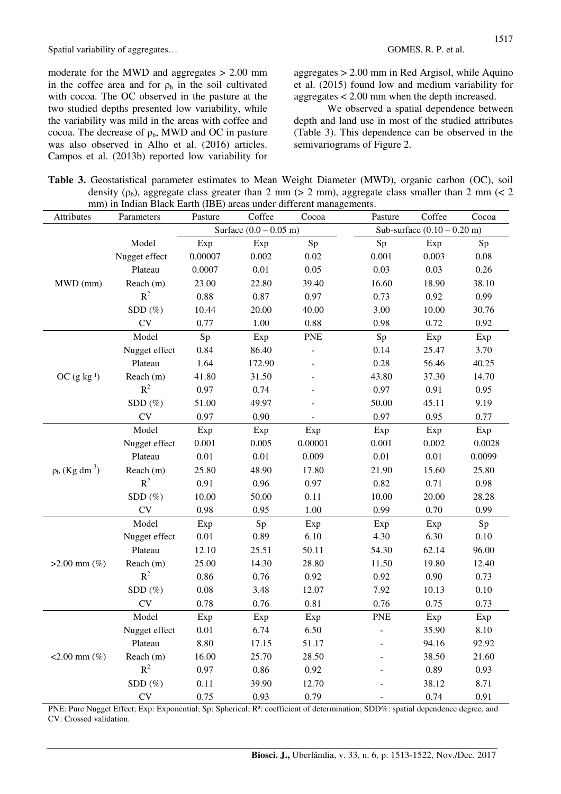moderate for the MWD and aggregates > 2.00 mm in the coffee area and for  $\rho_b$  in the soil cultivated with cocoa. The OC observed in the pasture at the two studied depths presented low variability, while the variability was mild in the areas with coffee and cocoa. The decrease of  $\rho_b$ , MWD and OC in pasture was also observed in Alho et al. (2016) articles. Campos et al. (2013b) reported low variability for

aggregates > 2.00 mm in Red Argisol, while Aquino et al. (2015) found low and medium variability for aggregates < 2.00 mm when the depth increased.

We observed a spatial dependence between depth and land use in most of the studied attributes (Table 3). This dependence can be observed in the semivariograms of Figure 2.

**Table 3.** Geostatistical parameter estimates to Mean Weight Diameter (MWD), organic carbon (OC), soil density ( $\rho_b$ ), aggregate class greater than 2 mm ( $> 2$  mm), aggregate class smaller than 2 mm ( $< 2$ mm) in Indian Black Earth (IRE) areas under different managements.

| Attributes                      | him) in mulan Diack Lattit (IDL) areas unuci unterent managements.<br>Parameters | Pasture  | Coffee                           | Cocoa      | Pasture    | Coffee                        | Cocoa                                        |  |  |
|---------------------------------|----------------------------------------------------------------------------------|----------|----------------------------------|------------|------------|-------------------------------|----------------------------------------------|--|--|
|                                 |                                                                                  |          | Surface $(0.0 - 0.05 \text{ m})$ |            |            | Sub-surface $(0.10 - 0.20$ m) |                                              |  |  |
| MWD (mm)                        | Model                                                                            | Exp      | Exp                              | Sp         | Sp         | Exp                           | $\mathrm{Sp}% _{2}\left( \mathcal{S}\right)$ |  |  |
|                                 | Nugget effect                                                                    | 0.00007  | 0.002                            | 0.02       | 0.001      | 0.003                         | $0.08\,$                                     |  |  |
|                                 | Plateau                                                                          | 0.0007   | $0.01\,$                         | 0.05       | 0.03       | 0.03                          | 0.26                                         |  |  |
|                                 | Reach (m)                                                                        | 23.00    | 22.80                            | 39.40      | 16.60      | 18.90                         | 38.10                                        |  |  |
|                                 | $R^2$                                                                            | 0.88     | 0.87                             | 0.97       | 0.73       | 0.92                          | 0.99                                         |  |  |
|                                 | $SDD(\%)$                                                                        | 10.44    | 20.00                            | 40.00      | 3.00       | 10.00                         | 30.76                                        |  |  |
|                                 | <b>CV</b>                                                                        | 0.77     | 1.00                             | 0.88       | 0.98       | 0.72                          | 0.92                                         |  |  |
|                                 | Model                                                                            | Sp       | Exp                              | <b>PNE</b> | Sp         | Exp                           | Exp                                          |  |  |
|                                 | Nugget effect                                                                    | 0.84     | 86.40                            |            | 0.14       | 25.47                         | 3.70                                         |  |  |
|                                 | Plateau                                                                          | 1.64     | 172.90                           |            | 0.28       | 56.46                         | 40.25                                        |  |  |
| $OC$ $(g kg-1)$                 | Reach (m)                                                                        | 41.80    | 31.50                            |            | 43.80      | 37.30                         | 14.70                                        |  |  |
|                                 | $R^2$                                                                            | 0.97     | 0.74                             |            | 0.97       | 0.91                          | 0.95                                         |  |  |
|                                 | SDD <sup>(%)</sup>                                                               | 51.00    | 49.97                            |            | 50.00      | 45.11                         | 9.19                                         |  |  |
|                                 | CV                                                                               | 0.97     | 0.90                             |            | 0.97       | 0.95                          | 0.77                                         |  |  |
|                                 | Model                                                                            | Exp      | Exp                              | Exp        | Exp        | Exp                           | Exp                                          |  |  |
|                                 | Nugget effect                                                                    | 0.001    | 0.005                            | 0.00001    | 0.001      | 0.002                         | 0.0028                                       |  |  |
|                                 | Plateau                                                                          | $0.01\,$ | 0.01                             | 0.009      | 0.01       | 0.01                          | 0.0099                                       |  |  |
| $\rho_b$ (Kg dm <sup>-3</sup> ) | Reach (m)                                                                        | 25.80    | 48.90                            | 17.80      | 21.90      | 15.60                         | 25.80                                        |  |  |
|                                 | $R^2$                                                                            | 0.91     | 0.96                             | 0.97       | 0.82       | 0.71                          | 0.98                                         |  |  |
|                                 | $SDD(\%)$                                                                        | 10.00    | 50.00                            | 0.11       | 10.00      | 20.00                         | 28.28                                        |  |  |
|                                 | <b>CV</b>                                                                        | 0.98     | 0.95                             | 1.00       | 0.99       | 0.70                          | 0.99                                         |  |  |
| $>2.00$ mm $(\%)$               | Model                                                                            | Exp      | Sp                               | Exp        | Exp        | Exp                           | Sp                                           |  |  |
|                                 | Nugget effect                                                                    | 0.01     | 0.89                             | 6.10       | 4.30       | 6.30                          | 0.10                                         |  |  |
|                                 | Plateau                                                                          | 12.10    | 25.51                            | 50.11      | 54.30      | 62.14                         | 96.00                                        |  |  |
|                                 | Reach (m)                                                                        | 25.00    | 14.30                            | 28.80      | 11.50      | 19.80                         | 12.40                                        |  |  |
|                                 | $R^2$                                                                            | 0.86     | 0.76                             | 0.92       | 0.92       | 0.90                          | 0.73                                         |  |  |
|                                 | SDD <sup>(%)</sup>                                                               | 0.08     | 3.48                             | 12.07      | 7.92       | 10.13                         | 0.10                                         |  |  |
|                                 | ${\rm CV}$                                                                       | 0.78     | 0.76                             | 0.81       | 0.76       | 0.75                          | 0.73                                         |  |  |
| $<2.00$ mm $(\%)$               | Model                                                                            | Exp      | Exp                              | Exp        | <b>PNE</b> | Exp                           | Exp                                          |  |  |
|                                 | Nugget effect                                                                    | $0.01\,$ | 6.74                             | 6.50       |            | 35.90                         | 8.10                                         |  |  |
|                                 | Plateau                                                                          | 8.80     | 17.15                            | 51.17      |            | 94.16                         | 92.92                                        |  |  |
|                                 | Reach (m)                                                                        | 16.00    | 25.70                            | 28.50      |            | 38.50                         | 21.60                                        |  |  |
|                                 | $R^2$                                                                            | 0.97     | 0.86                             | 0.92       |            | 0.89                          | 0.93                                         |  |  |
|                                 | $SDD(\%)$                                                                        | 0.11     | 39.90                            | 12.70      |            | 38.12                         | 8.71                                         |  |  |
|                                 | ${\rm CV}$                                                                       | 0.75     | 0.93                             | 0.79       |            | 0.74                          | 0.91                                         |  |  |

PNE: Pure Nugget Effect; Exp: Exponential; Sp: Spherical; R²: coefficient of determination; SDD%: spatial dependence degree, and CV: Crossed validation.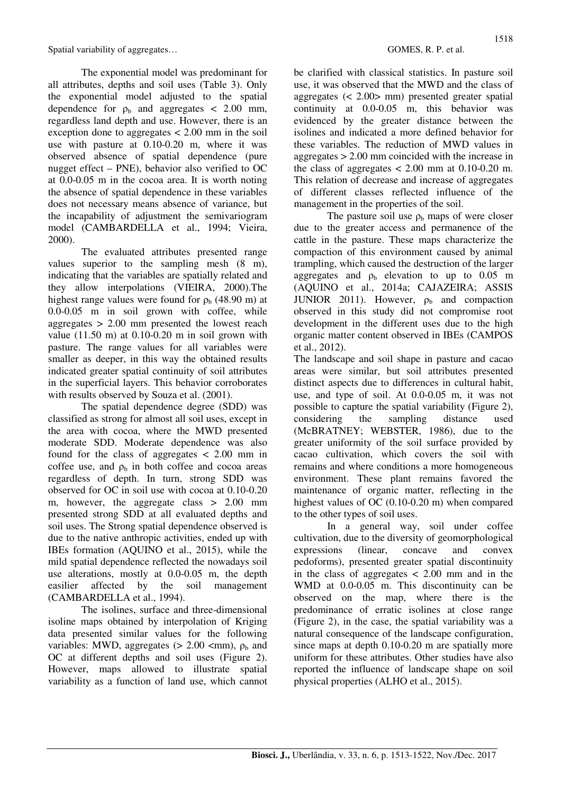The exponential model was predominant for all attributes, depths and soil uses (Table 3). Only the exponential model adjusted to the spatial dependence for  $\rho_b$  and aggregates  $\langle 2.00 \rangle$  mm, regardless land depth and use. However, there is an exception done to aggregates < 2.00 mm in the soil use with pasture at 0.10-0.20 m, where it was observed absence of spatial dependence (pure nugget effect – PNE), behavior also verified to OC at 0.0-0.05 m in the cocoa area. It is worth noting the absence of spatial dependence in these variables does not necessary means absence of variance, but the incapability of adjustment the semivariogram model (CAMBARDELLA et al., 1994; Vieira, 2000).

The evaluated attributes presented range values superior to the sampling mesh (8 m), indicating that the variables are spatially related and they allow interpolations (VIEIRA, 2000).The highest range values were found for  $\rho_b$  (48.90 m) at 0.0-0.05 m in soil grown with coffee, while aggregates > 2.00 mm presented the lowest reach value  $(11.50 \text{ m})$  at  $0.10$ -0.20 m in soil grown with pasture. The range values for all variables were smaller as deeper, in this way the obtained results indicated greater spatial continuity of soil attributes in the superficial layers. This behavior corroborates with results observed by Souza et al. (2001).

The spatial dependence degree (SDD) was classified as strong for almost all soil uses, except in the area with cocoa, where the MWD presented moderate SDD. Moderate dependence was also found for the class of aggregates  $\lt$  2.00 mm in coffee use, and  $\rho_b$  in both coffee and cocoa areas regardless of depth. In turn, strong SDD was observed for OC in soil use with cocoa at 0.10-0.20 m, however, the aggregate class > 2.00 mm presented strong SDD at all evaluated depths and soil uses. The Strong spatial dependence observed is due to the native anthropic activities, ended up with IBEs formation (AQUINO et al., 2015), while the mild spatial dependence reflected the nowadays soil use alterations, mostly at 0.0-0.05 m, the depth easilier affected by the soil management (CAMBARDELLA et al., 1994).

The isolines, surface and three-dimensional isoline maps obtained by interpolation of Kriging data presented similar values for the following variables: MWD, aggregates  $(> 2.00$  <mm),  $\rho_b$  and OC at different depths and soil uses (Figure 2). However, maps allowed to illustrate spatial variability as a function of land use, which cannot be clarified with classical statistics. In pasture soil use, it was observed that the MWD and the class of aggregates (< 2.00> mm) presented greater spatial continuity at 0.0-0.05 m, this behavior was evidenced by the greater distance between the isolines and indicated a more defined behavior for these variables. The reduction of MWD values in aggregates > 2.00 mm coincided with the increase in the class of aggregates  $< 2.00$  mm at 0.10-0.20 m. This relation of decrease and increase of aggregates of different classes reflected influence of the management in the properties of the soil.

The pasture soil use  $\rho_b$  maps of were closer due to the greater access and permanence of the cattle in the pasture. These maps characterize the compaction of this environment caused by animal trampling, which caused the destruction of the larger aggregates and  $\rho_b$  elevation to up to 0.05 m (AQUINO et al., 2014a; CAJAZEIRA; ASSIS JUNIOR 2011). However,  $\rho_b$  and compaction observed in this study did not compromise root development in the different uses due to the high organic matter content observed in IBEs (CAMPOS et al., 2012).

The landscape and soil shape in pasture and cacao areas were similar, but soil attributes presented distinct aspects due to differences in cultural habit, use, and type of soil. At 0.0-0.05 m, it was not possible to capture the spatial variability (Figure 2), considering the sampling distance used (McBRATNEY; WEBSTER, 1986), due to the greater uniformity of the soil surface provided by cacao cultivation, which covers the soil with remains and where conditions a more homogeneous environment. These plant remains favored the maintenance of organic matter, reflecting in the highest values of OC (0.10-0.20 m) when compared to the other types of soil uses.

 In a general way, soil under coffee cultivation, due to the diversity of geomorphological expressions (linear, concave and convex pedoforms), presented greater spatial discontinuity in the class of aggregates  $\lt$  2.00 mm and in the WMD at 0.0-0.05 m. This discontinuity can be observed on the map, where there is the predominance of erratic isolines at close range (Figure 2), in the case, the spatial variability was a natural consequence of the landscape configuration, since maps at depth 0.10-0.20 m are spatially more uniform for these attributes. Other studies have also reported the influence of landscape shape on soil physical properties (ALHO et al., 2015).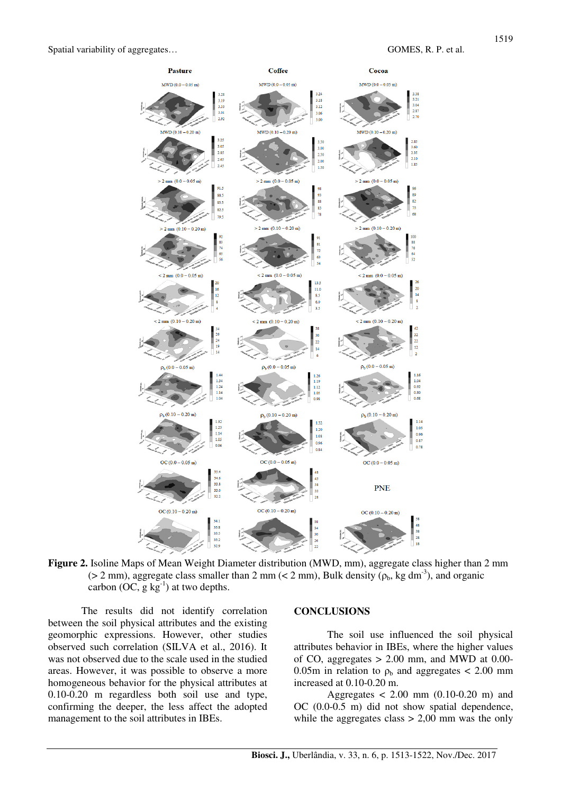

**Figure 2.** Isoline Maps of Mean Weight Diameter distribution (MWD, mm), aggregate class higher than 2 mm ( $> 2$  mm), aggregate class smaller than 2 mm ( $< 2$  mm), Bulk density ( $\rho_b$ , kg dm<sup>-3</sup>), and organic carbon (OC,  $g \text{kg}^{-1}$ ) at two depths.

 The results did not identify correlation between the soil physical attributes and the existing geomorphic expressions. However, other studies observed such correlation (SILVA et al., 2016). It was not observed due to the scale used in the studied areas. However, it was possible to observe a more homogeneous behavior for the physical attributes at 0.10-0.20 m regardless both soil use and type, confirming the deeper, the less affect the adopted management to the soil attributes in IBEs.

#### **CONCLUSIONS**

The soil use influenced the soil physical attributes behavior in IBEs, where the higher values of CO, aggregates  $> 2.00$  mm, and MWD at 0.00-0.05m in relation to  $\rho_b$  and aggregates < 2.00 mm increased at 0.10-0.20 m.

Aggregates  $< 2.00$  mm  $(0.10-0.20$  m) and OC (0.0-0.5 m) did not show spatial dependence, while the aggregates class  $> 2,00$  mm was the only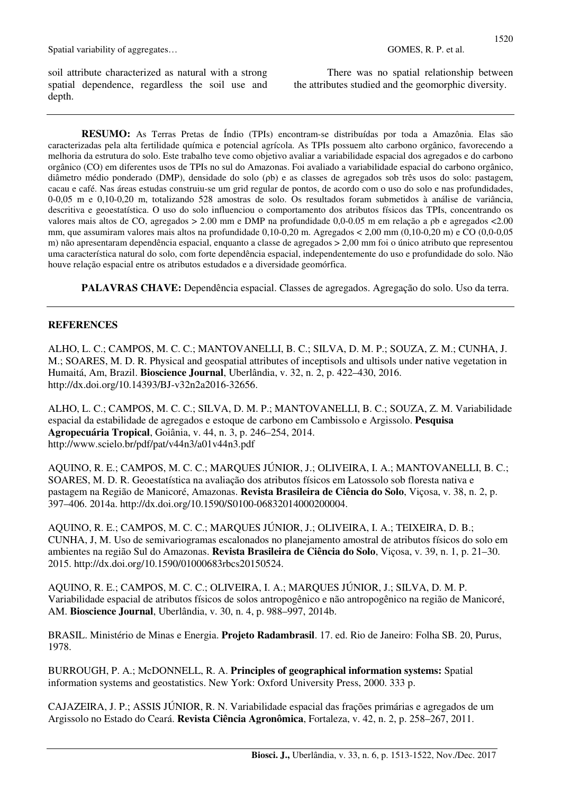soil attribute characterized as natural with a strong spatial dependence, regardless the soil use and depth.

There was no spatial relationship between the attributes studied and the geomorphic diversity.

**RESUMO:** As Terras Pretas de Índio (TPIs) encontram-se distribuídas por toda a Amazônia. Elas são caracterizadas pela alta fertilidade química e potencial agrícola. As TPIs possuem alto carbono orgânico, favorecendo a melhoria da estrutura do solo. Este trabalho teve como objetivo avaliar a variabilidade espacial dos agregados e do carbono orgânico (CO) em diferentes usos de TPIs no sul do Amazonas. Foi avaliado a variabilidade espacial do carbono orgânico, diâmetro médio ponderado (DMP), densidade do solo (ρb) e as classes de agregados sob três usos do solo: pastagem, cacau e café. Nas áreas estudas construiu-se um grid regular de pontos, de acordo com o uso do solo e nas profundidades, 0-0,05 m e 0,10-0,20 m, totalizando 528 amostras de solo. Os resultados foram submetidos à análise de variância, descritiva e geoestatística. O uso do solo influenciou o comportamento dos atributos físicos das TPIs, concentrando os valores mais altos de CO, agregados > 2.00 mm e DMP na profundidade 0,0-0.05 m em relação a ρb e agregados <2.00 mm, que assumiram valores mais altos na profundidade 0,10-0,20 m. Agregados < 2,00 mm (0,10-0,20 m) e CO (0,0-0,05 m) não apresentaram dependência espacial, enquanto a classe de agregados > 2,00 mm foi o único atributo que representou uma característica natural do solo, com forte dependência espacial, independentemente do uso e profundidade do solo. Não houve relação espacial entre os atributos estudados e a diversidade geomórfica.

**PALAVRAS CHAVE:** Dependência espacial. Classes de agregados. Agregação do solo. Uso da terra.

### **REFERENCES**

ALHO, L. C.; CAMPOS, M. C. C.; MANTOVANELLI, B. C.; SILVA, D. M. P.; SOUZA, Z. M.; CUNHA, J. M.; SOARES, M. D. R. Physical and geospatial attributes of inceptisols and ultisols under native vegetation in Humaitá, Am, Brazil. **Bioscience Journal**, Uberlândia, v. 32, n. 2, p. 422–430, 2016. http://dx.doi.org/10.14393/BJ-v32n2a2016-32656.

ALHO, L. C.; CAMPOS, M. C. C.; SILVA, D. M. P.; MANTOVANELLI, B. C.; SOUZA, Z. M. Variabilidade espacial da estabilidade de agregados e estoque de carbono em Cambissolo e Argissolo. **Pesquisa Agropecuária Tropical**, Goiânia, v. 44, n. 3, p. 246–254, 2014. http://www.scielo.br/pdf/pat/v44n3/a01v44n3.pdf

AQUINO, R. E.; CAMPOS, M. C. C.; MARQUES JÚNIOR, J.; OLIVEIRA, I. A.; MANTOVANELLI, B. C.; SOARES, M. D. R. Geoestatística na avaliação dos atributos físicos em Latossolo sob floresta nativa e pastagem na Região de Manicoré, Amazonas. **Revista Brasileira de Ciência do Solo**, Viçosa, v. 38, n. 2, p. 397–406. 2014a. http://dx.doi.org/10.1590/S0100-06832014000200004.

AQUINO, R. E.; CAMPOS, M. C. C.; MARQUES JÚNIOR, J.; OLIVEIRA, I. A.; TEIXEIRA, D. B.; CUNHA, J, M. Uso de semivariogramas escalonados no planejamento amostral de atributos físicos do solo em ambientes na região Sul do Amazonas. **Revista Brasileira de Ciência do Solo**, Viçosa, v. 39, n. 1, p. 21–30. 2015. http://dx.doi.org/10.1590/01000683rbcs20150524.

AQUINO, R. E.; CAMPOS, M. C. C.; OLIVEIRA, I. A.; MARQUES JÚNIOR, J.; SILVA, D. M. P. Variabilidade espacial de atributos físicos de solos antropogênico e não antropogênico na região de Manicoré, AM. **Bioscience Journal**, Uberlândia, v. 30, n. 4, p. 988–997, 2014b.

BRASIL. Ministério de Minas e Energia. **Projeto Radambrasil**. 17. ed. Rio de Janeiro: Folha SB. 20, Purus, 1978.

BURROUGH, P. A.; McDONNELL, R. A. **Principles of geographical information systems:** Spatial information systems and geostatistics. New York: Oxford University Press, 2000. 333 p.

CAJAZEIRA, J. P.; ASSIS JÚNIOR, R. N. Variabilidade espacial das frações primárias e agregados de um Argissolo no Estado do Ceará. **Revista Ciência Agronômica**, Fortaleza, v. 42, n. 2, p. 258–267, 2011.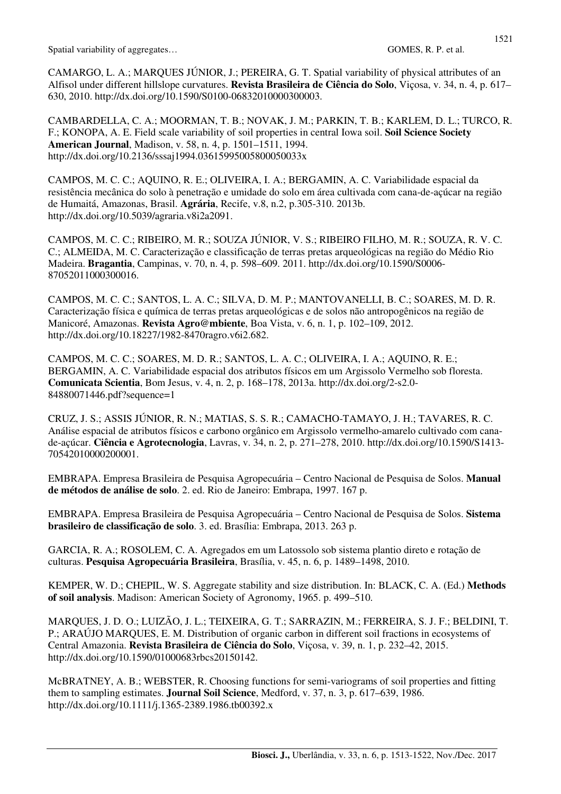CAMARGO, L. A.; MARQUES JÚNIOR, J.; PEREIRA, G. T. Spatial variability of physical attributes of an Alfisol under different hillslope curvatures. **Revista Brasileira de Ciência do Solo**, Viçosa, v. 34, n. 4, p. 617– 630, 2010. http://dx.doi.org/10.1590/S0100-06832010000300003.

CAMBARDELLA, C. A.; MOORMAN, T. B.; NOVAK, J. M.; PARKIN, T. B.; KARLEM, D. L.; TURCO, R. F.; KONOPA, A. E. Field scale variability of soil properties in central Iowa soil. **Soil Science Society American Journal**, Madison, v. 58, n. 4, p. 1501–1511, 1994. http://dx.doi.org/10.2136/sssaj1994.03615995005800050033x

CAMPOS, M. C. C.; AQUINO, R. E.; OLIVEIRA, I. A.; BERGAMIN, A. C. Variabilidade espacial da resistência mecânica do solo à penetração e umidade do solo em área cultivada com cana-de-açúcar na região de Humaitá, Amazonas, Brasil. **Agrária**, Recife, v.8, n.2, p.305-310. 2013b. http://dx.doi.org/10.5039/agraria.v8i2a2091.

CAMPOS, M. C. C.; RIBEIRO, M. R.; SOUZA JÚNIOR, V. S.; RIBEIRO FILHO, M. R.; SOUZA, R. V. C. C.; ALMEIDA, M. C. Caracterização e classificação de terras pretas arqueológicas na região do Médio Rio Madeira. **Bragantia**, Campinas, v. 70, n. 4, p. 598–609. 2011. http://dx.doi.org/10.1590/S0006- 87052011000300016.

CAMPOS, M. C. C.; SANTOS, L. A. C.; SILVA, D. M. P.; MANTOVANELLI, B. C.; SOARES, M. D. R. Caracterização física e química de terras pretas arqueológicas e de solos não antropogênicos na região de Manicoré, Amazonas. **Revista Agro@mbiente**, Boa Vista, v. 6, n. 1, p. 102–109, 2012. http://dx.doi.org/10.18227/1982-8470ragro.v6i2.682.

CAMPOS, M. C. C.; SOARES, M. D. R.; SANTOS, L. A. C.; OLIVEIRA, I. A.; AQUINO, R. E.; BERGAMIN, A. C. Variabilidade espacial dos atributos físicos em um Argissolo Vermelho sob floresta. **Comunicata Scientia**, Bom Jesus, v. 4, n. 2, p. 168–178, 2013a. http://dx.doi.org/2-s2.0- 84880071446.pdf?sequence=1

CRUZ, J. S.; ASSIS JÚNIOR, R. N.; MATIAS, S. S. R.; CAMACHO-TAMAYO, J. H.; TAVARES, R. C. Análise espacial de atributos físicos e carbono orgânico em Argissolo vermelho-amarelo cultivado com canade-açúcar. **Ciência e Agrotecnologia**, Lavras, v. 34, n. 2, p. 271–278, 2010. http://dx.doi.org/10.1590/S1413- 70542010000200001.

EMBRAPA. Empresa Brasileira de Pesquisa Agropecuária – Centro Nacional de Pesquisa de Solos. **Manual de métodos de análise de solo**. 2. ed. Rio de Janeiro: Embrapa, 1997. 167 p.

EMBRAPA. Empresa Brasileira de Pesquisa Agropecuária – Centro Nacional de Pesquisa de Solos. **Sistema brasileiro de classificação de solo**. 3. ed. Brasília: Embrapa, 2013. 263 p.

GARCIA, R. A.; ROSOLEM, C. A. Agregados em um Latossolo sob sistema plantio direto e rotação de culturas. **Pesquisa Agropecuária Brasileira**, Brasília, v. 45, n. 6, p. 1489–1498, 2010.

KEMPER, W. D.; CHEPIL, W. S. Aggregate stability and size distribution. In: BLACK, C. A. (Ed.) **Methods of soil analysis**. Madison: American Society of Agronomy, 1965. p. 499–510.

MARQUES, J. D. O.; LUIZÃO, J. L.; TEIXEIRA, G. T.; SARRAZIN, M.; FERREIRA, S. J. F.; BELDINI, T. P.; ARAÚJO MARQUES, E. M. Distribution of organic carbon in different soil fractions in ecosystems of Central Amazonia. **Revista Brasileira de Ciência do Solo**, Viçosa, v. 39, n. 1, p. 232–42, 2015. http://dx.doi.org/10.1590/01000683rbcs20150142.

McBRATNEY, A. B.; WEBSTER, R. Choosing functions for semi-variograms of soil properties and fitting them to sampling estimates. **Journal Soil Science**, Medford, v. 37, n. 3, p. 617–639, 1986. http://dx.doi.org/10.1111/j.1365-2389.1986.tb00392.x

1521